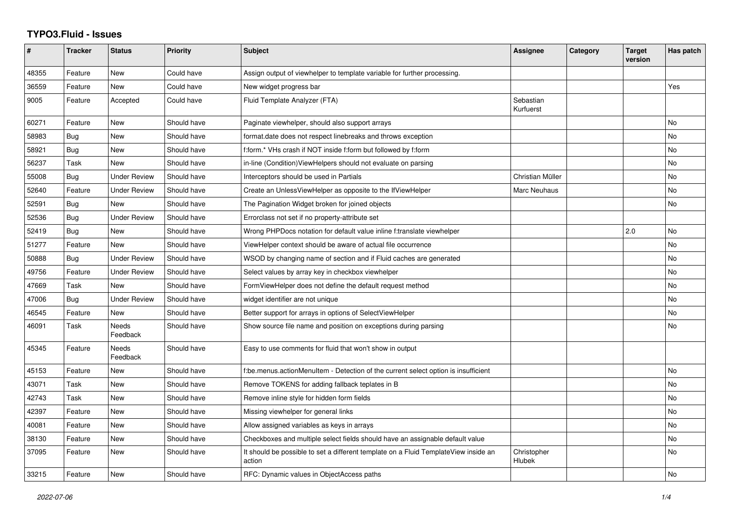## **TYPO3.Fluid - Issues**

| $\pmb{\#}$ | <b>Tracker</b> | <b>Status</b>            | <b>Priority</b> | Subject                                                                                       | Assignee               | Category | <b>Target</b><br>version | Has patch |
|------------|----------------|--------------------------|-----------------|-----------------------------------------------------------------------------------------------|------------------------|----------|--------------------------|-----------|
| 48355      | Feature        | New                      | Could have      | Assign output of viewhelper to template variable for further processing.                      |                        |          |                          |           |
| 36559      | Feature        | <b>New</b>               | Could have      | New widget progress bar                                                                       |                        |          |                          | Yes       |
| 9005       | Feature        | Accepted                 | Could have      | Fluid Template Analyzer (FTA)                                                                 | Sebastian<br>Kurfuerst |          |                          |           |
| 60271      | Feature        | New                      | Should have     | Paginate viewhelper, should also support arrays                                               |                        |          |                          | <b>No</b> |
| 58983      | Bug            | <b>New</b>               | Should have     | format.date does not respect linebreaks and throws exception                                  |                        |          |                          | <b>No</b> |
| 58921      | Bug            | New                      | Should have     | f:form.* VHs crash if NOT inside f:form but followed by f:form                                |                        |          |                          | <b>No</b> |
| 56237      | Task           | New                      | Should have     | in-line (Condition) View Helpers should not evaluate on parsing                               |                        |          |                          | No        |
| 55008      | <b>Bug</b>     | <b>Under Review</b>      | Should have     | Interceptors should be used in Partials                                                       | Christian Müller       |          |                          | No        |
| 52640      | Feature        | <b>Under Review</b>      | Should have     | Create an UnlessViewHelper as opposite to the IfViewHelper                                    | Marc Neuhaus           |          |                          | <b>No</b> |
| 52591      | Bug            | New                      | Should have     | The Pagination Widget broken for joined objects                                               |                        |          |                          | No        |
| 52536      | Bug            | <b>Under Review</b>      | Should have     | Errorclass not set if no property-attribute set                                               |                        |          |                          |           |
| 52419      | Bug            | <b>New</b>               | Should have     | Wrong PHPDocs notation for default value inline f:translate viewhelper                        |                        |          | 2.0                      | <b>No</b> |
| 51277      | Feature        | <b>New</b>               | Should have     | ViewHelper context should be aware of actual file occurrence                                  |                        |          |                          | <b>No</b> |
| 50888      | Bug            | <b>Under Review</b>      | Should have     | WSOD by changing name of section and if Fluid caches are generated                            |                        |          |                          | No        |
| 49756      | Feature        | <b>Under Review</b>      | Should have     | Select values by array key in checkbox viewhelper                                             |                        |          |                          | <b>No</b> |
| 47669      | Task           | <b>New</b>               | Should have     | FormViewHelper does not define the default request method                                     |                        |          |                          | No        |
| 47006      | Bug            | <b>Under Review</b>      | Should have     | widget identifier are not unique                                                              |                        |          |                          | <b>No</b> |
| 46545      | Feature        | New                      | Should have     | Better support for arrays in options of SelectViewHelper                                      |                        |          |                          | <b>No</b> |
| 46091      | Task           | <b>Needs</b><br>Feedback | Should have     | Show source file name and position on exceptions during parsing                               |                        |          |                          | <b>No</b> |
| 45345      | Feature        | Needs<br>Feedback        | Should have     | Easy to use comments for fluid that won't show in output                                      |                        |          |                          |           |
| 45153      | Feature        | <b>New</b>               | Should have     | f:be.menus.actionMenuItem - Detection of the current select option is insufficient            |                        |          |                          | <b>No</b> |
| 43071      | Task           | <b>New</b>               | Should have     | Remove TOKENS for adding fallback teplates in B                                               |                        |          |                          | <b>No</b> |
| 42743      | Task           | New                      | Should have     | Remove inline style for hidden form fields                                                    |                        |          |                          | <b>No</b> |
| 42397      | Feature        | New                      | Should have     | Missing viewhelper for general links                                                          |                        |          |                          | No        |
| 40081      | Feature        | New                      | Should have     | Allow assigned variables as keys in arrays                                                    |                        |          |                          | <b>No</b> |
| 38130      | Feature        | New                      | Should have     | Checkboxes and multiple select fields should have an assignable default value                 |                        |          |                          | No        |
| 37095      | Feature        | New                      | Should have     | It should be possible to set a different template on a Fluid TemplateView inside an<br>action | Christopher<br>Hlubek  |          |                          | No        |
| 33215      | Feature        | <b>New</b>               | Should have     | RFC: Dynamic values in ObjectAccess paths                                                     |                        |          |                          | <b>No</b> |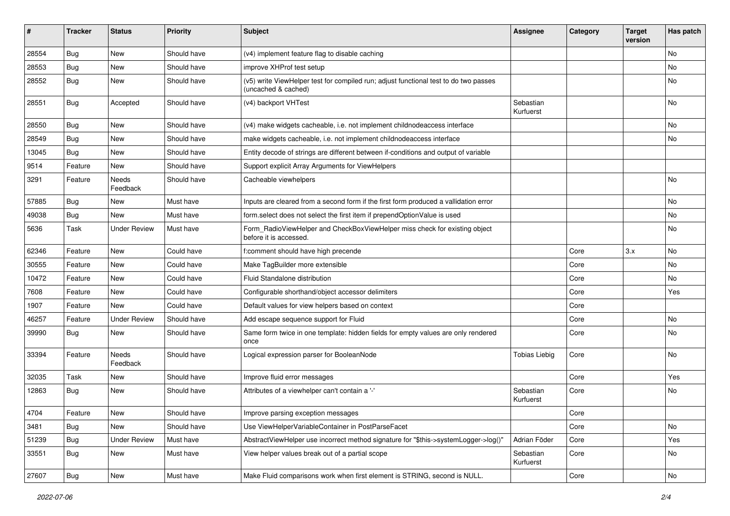| $\sharp$ | <b>Tracker</b> | <b>Status</b>            | <b>Priority</b> | Subject                                                                                                     | <b>Assignee</b>        | Category | <b>Target</b><br>version | Has patch |
|----------|----------------|--------------------------|-----------------|-------------------------------------------------------------------------------------------------------------|------------------------|----------|--------------------------|-----------|
| 28554    | Bug            | New                      | Should have     | (v4) implement feature flag to disable caching                                                              |                        |          |                          | <b>No</b> |
| 28553    | Bug            | New                      | Should have     | improve XHProf test setup                                                                                   |                        |          |                          | No        |
| 28552    | Bug            | New                      | Should have     | (v5) write ViewHelper test for compiled run; adjust functional test to do two passes<br>(uncached & cached) |                        |          |                          | No        |
| 28551    | Bug            | Accepted                 | Should have     | (v4) backport VHTest                                                                                        | Sebastian<br>Kurfuerst |          |                          | <b>No</b> |
| 28550    | Bug            | New                      | Should have     | (v4) make widgets cacheable, i.e. not implement childnodeaccess interface                                   |                        |          |                          | No        |
| 28549    | Bug            | New                      | Should have     | make widgets cacheable, i.e. not implement childnodeaccess interface                                        |                        |          |                          | No        |
| 13045    | Bug            | New                      | Should have     | Entity decode of strings are different between if-conditions and output of variable                         |                        |          |                          |           |
| 9514     | Feature        | New                      | Should have     | Support explicit Array Arguments for ViewHelpers                                                            |                        |          |                          |           |
| 3291     | Feature        | <b>Needs</b><br>Feedback | Should have     | Cacheable viewhelpers                                                                                       |                        |          |                          | <b>No</b> |
| 57885    | Bug            | New                      | Must have       | Inputs are cleared from a second form if the first form produced a vallidation error                        |                        |          |                          | No        |
| 49038    | Bug            | New                      | Must have       | form.select does not select the first item if prependOptionValue is used                                    |                        |          |                          | <b>No</b> |
| 5636     | Task           | <b>Under Review</b>      | Must have       | Form_RadioViewHelper and CheckBoxViewHelper miss check for existing object<br>before it is accessed.        |                        |          |                          | No        |
| 62346    | Feature        | New                      | Could have      | f:comment should have high precende                                                                         |                        | Core     | 3.x                      | No        |
| 30555    | Feature        | New                      | Could have      | Make TagBuilder more extensible                                                                             |                        | Core     |                          | <b>No</b> |
| 10472    | Feature        | New                      | Could have      | Fluid Standalone distribution                                                                               |                        | Core     |                          | No        |
| 7608     | Feature        | New                      | Could have      | Configurable shorthand/object accessor delimiters                                                           |                        | Core     |                          | Yes       |
| 1907     | Feature        | New                      | Could have      | Default values for view helpers based on context                                                            |                        | Core     |                          |           |
| 46257    | Feature        | <b>Under Review</b>      | Should have     | Add escape sequence support for Fluid                                                                       |                        | Core     |                          | No        |
| 39990    | Bug            | New                      | Should have     | Same form twice in one template: hidden fields for empty values are only rendered<br>once                   |                        | Core     |                          | No        |
| 33394    | Feature        | Needs<br>Feedback        | Should have     | Logical expression parser for BooleanNode                                                                   | <b>Tobias Liebig</b>   | Core     |                          | No        |
| 32035    | Task           | New                      | Should have     | Improve fluid error messages                                                                                |                        | Core     |                          | Yes       |
| 12863    | Bug            | New                      | Should have     | Attributes of a viewhelper can't contain a '-'                                                              | Sebastian<br>Kurfuerst | Core     |                          | No        |
| 4704     | Feature        | New                      | Should have     | Improve parsing exception messages                                                                          |                        | Core     |                          |           |
| 3481     | Bug            | New                      | Should have     | Use ViewHelperVariableContainer in PostParseFacet                                                           |                        | Core     |                          | No        |
| 51239    | <b>Bug</b>     | <b>Under Review</b>      | Must have       | AbstractViewHelper use incorrect method signature for "\$this->systemLogger->log()"                         | Adrian Föder           | Core     |                          | Yes       |
| 33551    | <b>Bug</b>     | New                      | Must have       | View helper values break out of a partial scope                                                             | Sebastian<br>Kurfuerst | Core     |                          | No        |
| 27607    | <b>Bug</b>     | New                      | Must have       | Make Fluid comparisons work when first element is STRING, second is NULL.                                   |                        | Core     |                          | No        |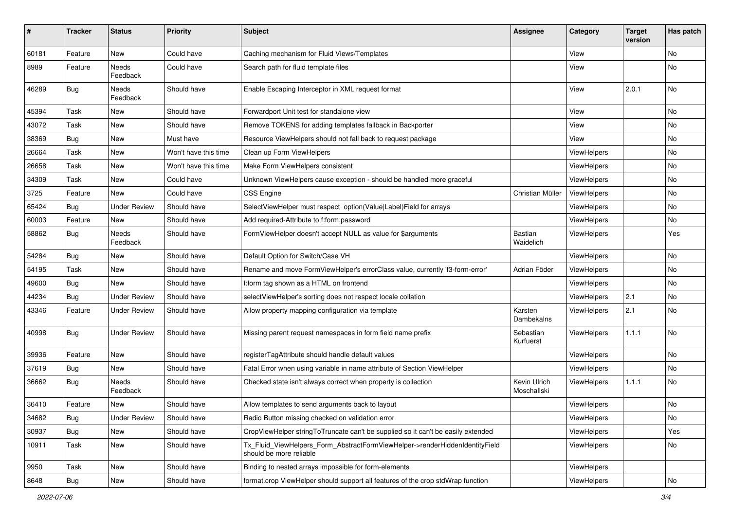| $\pmb{\#}$ | <b>Tracker</b> | <b>Status</b>            | <b>Priority</b>      | <b>Subject</b>                                                                                         | <b>Assignee</b>             | Category    | <b>Target</b><br>version | Has patch |
|------------|----------------|--------------------------|----------------------|--------------------------------------------------------------------------------------------------------|-----------------------------|-------------|--------------------------|-----------|
| 60181      | Feature        | <b>New</b>               | Could have           | Caching mechanism for Fluid Views/Templates                                                            |                             | View        |                          | <b>No</b> |
| 8989       | Feature        | Needs<br>Feedback        | Could have           | Search path for fluid template files                                                                   |                             | View        |                          | No        |
| 46289      | Bug            | Needs<br>Feedback        | Should have          | Enable Escaping Interceptor in XML request format                                                      |                             | View        | 2.0.1                    | <b>No</b> |
| 45394      | Task           | <b>New</b>               | Should have          | Forwardport Unit test for standalone view                                                              |                             | View        |                          | <b>No</b> |
| 43072      | Task           | New                      | Should have          | Remove TOKENS for adding templates fallback in Backporter                                              |                             | View        |                          | No        |
| 38369      | Bug            | New                      | Must have            | Resource ViewHelpers should not fall back to request package                                           |                             | View        |                          | No        |
| 26664      | Task           | <b>New</b>               | Won't have this time | Clean up Form ViewHelpers                                                                              |                             | ViewHelpers |                          | No        |
| 26658      | Task           | New                      | Won't have this time | Make Form ViewHelpers consistent                                                                       |                             | ViewHelpers |                          | No        |
| 34309      | Task           | <b>New</b>               | Could have           | Unknown ViewHelpers cause exception - should be handled more graceful                                  |                             | ViewHelpers |                          | No        |
| 3725       | Feature        | New                      | Could have           | <b>CSS Engine</b>                                                                                      | Christian Müller            | ViewHelpers |                          | No        |
| 65424      | Bug            | <b>Under Review</b>      | Should have          | SelectViewHelper must respect option(Value Label)Field for arrays                                      |                             | ViewHelpers |                          | No        |
| 60003      | Feature        | New                      | Should have          | Add required-Attribute to f:form.password                                                              |                             | ViewHelpers |                          | No        |
| 58862      | Bug            | Needs<br>Feedback        | Should have          | FormViewHelper doesn't accept NULL as value for \$arguments                                            | Bastian<br>Waidelich        | ViewHelpers |                          | Yes       |
| 54284      | Bug            | New                      | Should have          | Default Option for Switch/Case VH                                                                      |                             | ViewHelpers |                          | <b>No</b> |
| 54195      | Task           | New                      | Should have          | Rename and move FormViewHelper's errorClass value, currently 'f3-form-error'                           | Adrian Föder                | ViewHelpers |                          | No        |
| 49600      | Bug            | <b>New</b>               | Should have          | f:form tag shown as a HTML on frontend                                                                 |                             | ViewHelpers |                          | No        |
| 44234      | Bug            | <b>Under Review</b>      | Should have          | selectViewHelper's sorting does not respect locale collation                                           |                             | ViewHelpers | 2.1                      | No        |
| 43346      | Feature        | <b>Under Review</b>      | Should have          | Allow property mapping configuration via template                                                      | Karsten<br>Dambekalns       | ViewHelpers | 2.1                      | <b>No</b> |
| 40998      | Bug            | <b>Under Review</b>      | Should have          | Missing parent request namespaces in form field name prefix                                            | Sebastian<br>Kurfuerst      | ViewHelpers | 1.1.1                    | <b>No</b> |
| 39936      | Feature        | <b>New</b>               | Should have          | registerTagAttribute should handle default values                                                      |                             | ViewHelpers |                          | <b>No</b> |
| 37619      | Bug            | New                      | Should have          | Fatal Error when using variable in name attribute of Section ViewHelper                                |                             | ViewHelpers |                          | No        |
| 36662      | Bug            | <b>Needs</b><br>Feedback | Should have          | Checked state isn't always correct when property is collection                                         | Kevin Ulrich<br>Moschallski | ViewHelpers | 1.1.1                    | No        |
| 36410      | Feature        | New                      | Should have          | Allow templates to send arguments back to layout                                                       |                             | ViewHelpers |                          | <b>No</b> |
| 34682      | Bug            | <b>Under Review</b>      | Should have          | Radio Button missing checked on validation error                                                       |                             | ViewHelpers |                          | No        |
| 30937      | Bug            | New                      | Should have          | CropViewHelper stringToTruncate can't be supplied so it can't be easily extended                       |                             | ViewHelpers |                          | Yes       |
| 10911      | Task           | New                      | Should have          | Tx_Fluid_ViewHelpers_Form_AbstractFormViewHelper->renderHiddenIdentityField<br>should be more reliable |                             | ViewHelpers |                          | No        |
| 9950       | Task           | New                      | Should have          | Binding to nested arrays impossible for form-elements                                                  |                             | ViewHelpers |                          |           |
| 8648       | <b>Bug</b>     | New                      | Should have          | format.crop ViewHelper should support all features of the crop stdWrap function                        |                             | ViewHelpers |                          | No        |